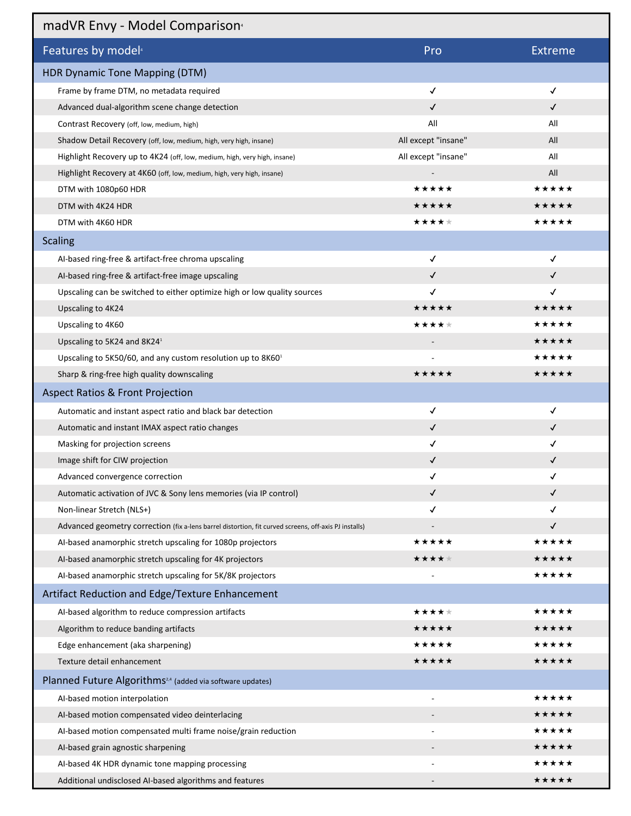## madVR Envy - Model Comparison4

| $\frac{1}{2}$                                                                                         |                     |                |
|-------------------------------------------------------------------------------------------------------|---------------------|----------------|
| Features by model <sup>4</sup>                                                                        | Pro                 | <b>Extreme</b> |
| <b>HDR Dynamic Tone Mapping (DTM)</b>                                                                 |                     |                |
| Frame by frame DTM, no metadata required                                                              | $\checkmark$        | $\checkmark$   |
| Advanced dual-algorithm scene change detection                                                        | ✓                   | $\checkmark$   |
| Contrast Recovery (off, low, medium, high)                                                            | All                 | All            |
| Shadow Detail Recovery (off, low, medium, high, very high, insane)                                    | All except "insane" | All            |
| Highlight Recovery up to 4K24 (off, low, medium, high, very high, insane)                             | All except "insane" | All            |
| Highlight Recovery at 4K60 (off, low, medium, high, very high, insane)                                |                     | All            |
| DTM with 1080p60 HDR                                                                                  | ★★★★★               | ★★★★★          |
| DTM with 4K24 HDR                                                                                     | ★★★★★               | ★★★★★          |
| DTM with 4K60 HDR                                                                                     | ★★★★★               | ★★★★★          |
| <b>Scaling</b>                                                                                        |                     |                |
| Al-based ring-free & artifact-free chroma upscaling                                                   | $\checkmark$        | √              |
| Al-based ring-free & artifact-free image upscaling                                                    | $\checkmark$        | $\checkmark$   |
| Upscaling can be switched to either optimize high or low quality sources                              | √                   | $\checkmark$   |
| Upscaling to 4K24                                                                                     | ★★★★★               | ★★★★★          |
| Upscaling to 4K60                                                                                     | ★★★★★               | ★★★★★          |
| Upscaling to 5K24 and 8K24 <sup>1</sup>                                                               |                     | ★★★★★          |
| Upscaling to 5K50/60, and any custom resolution up to 8K60 <sup>1</sup>                               |                     | ★★★★★          |
| Sharp & ring-free high quality downscaling                                                            | ★★★★★               | ★★★★★          |
| <b>Aspect Ratios &amp; Front Projection</b>                                                           |                     |                |
| Automatic and instant aspect ratio and black bar detection                                            | ✓                   | $\checkmark$   |
| Automatic and instant IMAX aspect ratio changes                                                       | ✓                   | $\checkmark$   |
| Masking for projection screens                                                                        | ✓                   | ✓              |
| Image shift for CIW projection                                                                        | $\checkmark$        | $\checkmark$   |
| Advanced convergence correction                                                                       | √                   | √              |
| Automatic activation of JVC & Sony lens memories (via IP control)                                     | ✓                   | ✓              |
| Non-linear Stretch (NLS+)                                                                             | ✓                   | ✓              |
| Advanced geometry correction (fix a-lens barrel distortion, fit curved screens, off-axis PJ installs) |                     | $\checkmark$   |
| Al-based anamorphic stretch upscaling for 1080p projectors                                            | ★★★★★               | ★★★★★          |
| Al-based anamorphic stretch upscaling for 4K projectors                                               | ★★★★★               | *****          |
| Al-based anamorphic stretch upscaling for 5K/8K projectors                                            |                     | *****          |
| Artifact Reduction and Edge/Texture Enhancement                                                       |                     |                |
| Al-based algorithm to reduce compression artifacts                                                    | ★★★★★               | ★★★★★          |
| Algorithm to reduce banding artifacts                                                                 | ★★★★★               | ★★★★★          |
| Edge enhancement (aka sharpening)                                                                     | *****               | ★★★★★          |
| Texture detail enhancement                                                                            | ★★★★★               | ★★★★★          |
| Planned Future Algorithms <sup>2,4</sup> (added via software updates)                                 |                     |                |
| Al-based motion interpolation                                                                         |                     | ★★★★★          |
| Al-based motion compensated video deinterlacing                                                       |                     | *****          |
| Al-based motion compensated multi frame noise/grain reduction                                         |                     | ★★★★★          |
| Al-based grain agnostic sharpening                                                                    |                     | ★★★★★          |
| Al-based 4K HDR dynamic tone mapping processing                                                       |                     | ★★★★★          |
| Additional undisclosed AI-based algorithms and features                                               |                     | ★★★★★          |